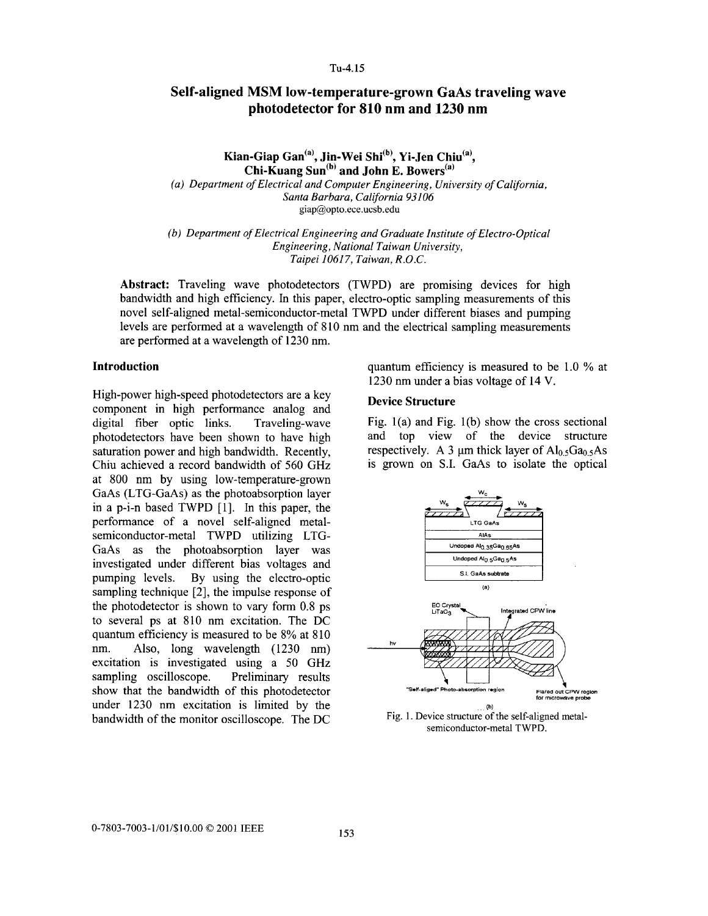## **TU-4. 15**

# **Self-aligned MSM low-temperature-grown GaAs traveling wave photodetector for 810 nm and 1230 nm**

Kian-Giap Gan<sup>(a)</sup>, Jin-Wei Shi<sup>(b)</sup>, Yi-Jen Chiu<sup>(a)</sup>, **Chi-Kuang Sun(b' and John E. Bowers(a)** 

*(a) Department of Electrical and Computer Engineering, University of California, Santa Barbara, California 93106*  [giap@opto.ece.ucsb.edu](mailto:giap@opto.ece.ucsb.edu)

*(b) Department* of *Electrical Engineering and Graduate Institute of Electro-Optical Taipei 10617, Taiwan, R.O.C. Engineering, National Taiwan University,* 

**Abstract:** Traveling wave photodetectors (TWPD) are promising devices for high bandwidth and high efficiency. In this paper, electro-optic sampling measurements of this novel self-aligned metal-semiconductor-metal TWPD under different biases and pumping levels are performed at a wavelength of 810 nm and the electrical sampling measurements are performed at a wavelength of 1230 nm.

## **Introduction**

High-power high-speed photodetectors are a key component in high performance analog and digital fiber optic links. Traveling-wave photodetectors have been shown to have high saturation power and high bandwidth. Recently, Chiu achieved a record bandwidth of 560 GHz at 800 nm by using low-temperature-grown GaAs (LTG-GaAs) as the photoabsorption layer in a p-i-n based TWPD [l]. In this paper, the performance of a novel self-aligned metalsemiconductor-metal TWPD utilizing LTG-GaAs as the photoabsorption layer was investigated under different bias voltages and pumping levels. By using the electro-optic sampling technique [2], the impulse response of the photodetector is shown to vary form 0.8 ps to several ps at 810 nm excitation. The DC quantum efficiency is measured to be 8% at 810 nm. Also, long wavelength (1230 nm) excitation is investigated using a 50 GHz sampling oscilloscope. Preliminary results show that the bandwidth of this photodetector under 1230 nm excitation is limited by the bandwidth of the monitor oscilloscope. The DC

quantum efficiency **is** measured to be 1.0 % at 1230 nm under a bias voltage of 14 V.

## **Device Structure**

Fig.  $1(a)$  and Fig.  $1(b)$  show the cross sectional and top view of the device structure respectively. A 3  $\mu$ m thick layer of Al<sub>0.5</sub>Ga<sub>0.5</sub>As is grown on **S.I.** GaAs to isolate the optical



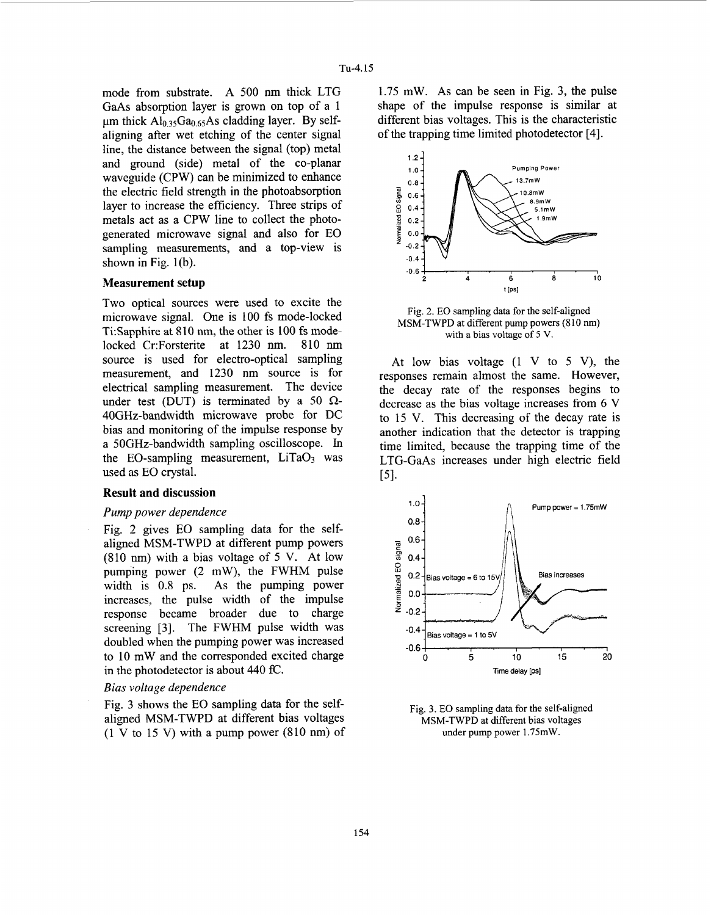mode from substrate. A 500 nm thick LTG GaAs absorption layer is grown on top of a 1  $\mu$ m thick Al<sub>0.35</sub>Ga<sub>0.65</sub>As cladding layer. By selfaligning after wet etching of the center signal line, the distance between the signal (top) metal and ground (side) metal of the co-planar waveguide (CPW) can be minimized to enhance the electric field strength in the photoabsorption layer to increase the efficiency. Three strips of metals act as a CPW line to collect the photogenerated microwave signal and also for EO sampling measurements, and a top-view is shown in Fig. 1(b).

## **Measurement setup**

Two optical sources were used to excite the microwave signal. One is 100 fs mode-locked Fig. 2. EO sampling data for the self-aligned<br>MSM-TWPD at different pump powers (810 nm) microwave signal. One is 100 is mode-locked<br>Ti:Sapphire at 810 nm, the other is 100 fs mode-<br>locked Cr:Forsterite at 1230 nm. 810 nm source is used for electro-optical sampling measurement, and 1230 nm source is for electrical sampling measurement. The device under test (DUT) is terminated by a 50  $\Omega$ -40GHz-bandwidth microwave probe for DC bias and monitoring of the impulse response by a 5OGHz-bandwidth sampling oscilloscope. In the EO-sampling measurement,  $LiTaO<sub>3</sub>$  was used as EO crystal.

## **Result and discussion**

### *Pump power dependence*

Fig. *2* gives EO sampling data for the selfaligned MSM-TWPD at different pump powers (810 nm) with a bias voltage of 5 V. At low width is 0.8 ps. As the pumping power increases, the pulse width of the impulse response became broader due to charge screening *[3].* The FWHM pulse width was doubled when the pumping power was increased aligned MSM-TWPD at different pump powers<br>
(810 nm) with a bias voltage of 5 V. At low<br>
pumping power (2 mW), the FWHM pulse<br>
width is 0.8 ps. As the pumping power<br>
increases, the pulse width of the impulse<br>
mergeneses, t to 10 mW and the corresponded excited charge  $\begin{array}{cccc} -0.6 & -0.6 & -0.6 & 10 & 15 & 20 \\ 0 & 0 & 5 & 10 & 15 & 20 \end{array}$ in the photodetector is about 440 fC. **The comparison of the comparison of the comparison**  $\mathbb{Z}$  **Time delay [ps]** 

## *Bias voltage dependence*

Fig. **3** shows the EO sampling data for the selfaligned MSM-TWPD at different bias voltages  $(1 V to 15 V)$  with a pump power  $(810 nm)$  of

1.75 mW. As can be seen in Fig. 3, the pulse shape of the impulse response is similar at different bias voltages. This is the characteristic of the trapping time limited photodetector [4].



At low bias voltage  $(1 \tV to 5 \tV)$ , the responses remain almost the same. However, the decay rate of the responses begins to decrease as the bias voltage increases from **6** V to 15 V. This decreasing of the decay rate is another indication that the detector is trapping time limited, because the trapping time of the LTG-GaAs increases under high electric field ~51.